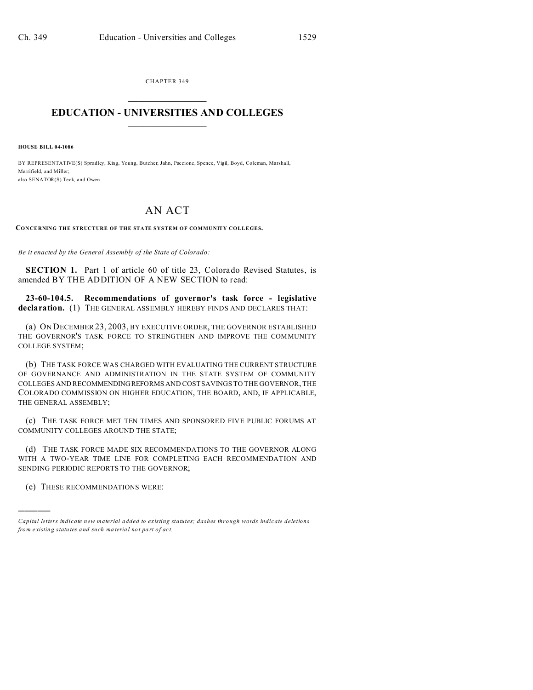CHAPTER 349  $\overline{\phantom{a}}$  , where  $\overline{\phantom{a}}$ 

## **EDUCATION - UNIVERSITIES AND COLLEGES**  $\frac{1}{2}$

**HOUSE BILL 04-1086**

BY REPRESENTATIVE(S) Spradley, King, Young, Butcher, Jahn, Paccione, Spence, Vigil, Boyd, Coleman, Marshall, Merrifield, and Miller; also SENATOR(S) Teck, and Owen.

## AN ACT

**CONCERNING THE STRUCTURE OF THE STATE SYSTEM OF COMMUNITY COLLEGES.**

*Be it enacted by the General Assembly of the State of Colorado:*

**SECTION 1.** Part 1 of article 60 of title 23, Colorado Revised Statutes, is amended BY THE ADDITION OF A NEW SECTION to read:

**23-60-104.5. Recommendations of governor's task force - legislative declaration.** (1) THE GENERAL ASSEMBLY HEREBY FINDS AND DECLARES THAT:

(a) ON DECEMBER 23, 2003, BY EXECUTIVE ORDER, THE GOVERNOR ESTABLISHED THE GOVERNOR'S TASK FORCE TO STRENGTHEN AND IMPROVE THE COMMUNITY COLLEGE SYSTEM;

(b) THE TASK FORCE WAS CHARGED WITH EVALUATING THE CURRENT STRUCTURE OF GOVERNANCE AND ADMINISTRATION IN THE STATE SYSTEM OF COMMUNITY COLLEGES AND RECOMMENDINGREFORMS AND COST SAVINGS TO THE GOVERNOR, THE COLORADO COMMISSION ON HIGHER EDUCATION, THE BOARD, AND, IF APPLICABLE, THE GENERAL ASSEMBLY;

(c) THE TASK FORCE MET TEN TIMES AND SPONSORED FIVE PUBLIC FORUMS AT COMMUNITY COLLEGES AROUND THE STATE;

(d) THE TASK FORCE MADE SIX RECOMMENDATIONS TO THE GOVERNOR ALONG WITH A TWO-YEAR TIME LINE FOR COMPLETING EACH RECOMMENDATION AND SENDING PERIODIC REPORTS TO THE GOVERNOR;

(e) THESE RECOMMENDATIONS WERE:

)))))

*Capital letters indicate new material added to existing statutes; dashes through words indicate deletions from e xistin g statu tes a nd such ma teria l no t pa rt of ac t.*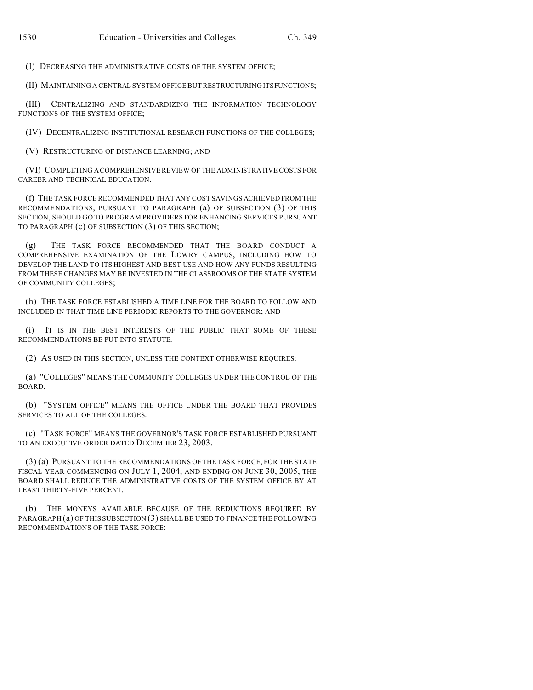(I) DECREASING THE ADMINISTRATIVE COSTS OF THE SYSTEM OFFICE;

(II) MAINTAINING A CENTRAL SYSTEM OFFICE BUT RESTRUCTURING ITSFUNCTIONS;

(III) CENTRALIZING AND STANDARDIZING THE INFORMATION TECHNOLOGY FUNCTIONS OF THE SYSTEM OFFICE;

(IV) DECENTRALIZING INSTITUTIONAL RESEARCH FUNCTIONS OF THE COLLEGES;

(V) RESTRUCTURING OF DISTANCE LEARNING; AND

(VI) COMPLETING A COMPREHENSIVE REVIEW OF THE ADMINISTRATIVE COSTS FOR CAREER AND TECHNICAL EDUCATION.

(f) THE TASK FORCE RECOMMENDED THAT ANY COST SAVINGS ACHIEVED FROM THE RECOMMENDATIONS, PURSUANT TO PARAGRAPH (a) OF SUBSECTION (3) OF THIS SECTION, SHOULD GO TO PROGRAM PROVIDERS FOR ENHANCING SERVICES PURSUANT TO PARAGRAPH (c) OF SUBSECTION (3) OF THIS SECTION;

(g) THE TASK FORCE RECOMMENDED THAT THE BOARD CONDUCT A COMPREHENSIVE EXAMINATION OF THE LOWRY CAMPUS, INCLUDING HOW TO DEVELOP THE LAND TO ITS HIGHEST AND BEST USE AND HOW ANY FUNDS RESULTING FROM THESE CHANGES MAY BE INVESTED IN THE CLASSROOMS OF THE STATE SYSTEM OF COMMUNITY COLLEGES;

(h) THE TASK FORCE ESTABLISHED A TIME LINE FOR THE BOARD TO FOLLOW AND INCLUDED IN THAT TIME LINE PERIODIC REPORTS TO THE GOVERNOR; AND

(i) IT IS IN THE BEST INTERESTS OF THE PUBLIC THAT SOME OF THESE RECOMMENDATIONS BE PUT INTO STATUTE.

(2) AS USED IN THIS SECTION, UNLESS THE CONTEXT OTHERWISE REQUIRES:

(a) "COLLEGES" MEANS THE COMMUNITY COLLEGES UNDER THE CONTROL OF THE BOARD.

(b) "SYSTEM OFFICE" MEANS THE OFFICE UNDER THE BOARD THAT PROVIDES SERVICES TO ALL OF THE COLLEGES.

(c) "TASK FORCE" MEANS THE GOVERNOR'S TASK FORCE ESTABLISHED PURSUANT TO AN EXECUTIVE ORDER DATED DECEMBER 23, 2003.

(3) (a) PURSUANT TO THE RECOMMENDATIONS OF THE TASK FORCE, FOR THE STATE FISCAL YEAR COMMENCING ON JULY 1, 2004, AND ENDING ON JUNE 30, 2005, THE BOARD SHALL REDUCE THE ADMINISTRATIVE COSTS OF THE SYSTEM OFFICE BY AT LEAST THIRTY-FIVE PERCENT.

(b) THE MONEYS AVAILABLE BECAUSE OF THE REDUCTIONS REQUIRED BY PARAGRAPH (a) OF THIS SUBSECTION (3) SHALL BE USED TO FINANCE THE FOLLOWING RECOMMENDATIONS OF THE TASK FORCE: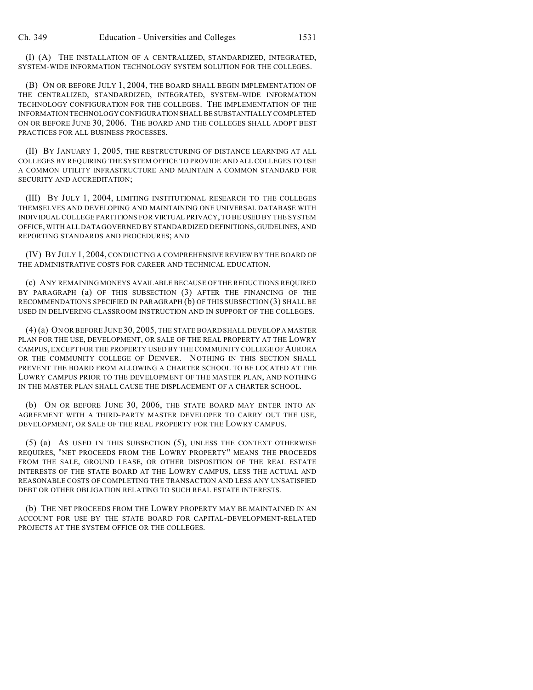(I) (A) THE INSTALLATION OF A CENTRALIZED, STANDARDIZED, INTEGRATED, SYSTEM-WIDE INFORMATION TECHNOLOGY SYSTEM SOLUTION FOR THE COLLEGES.

(B) ON OR BEFORE JULY 1, 2004, THE BOARD SHALL BEGIN IMPLEMENTATION OF THE CENTRALIZED, STANDARDIZED, INTEGRATED, SYSTEM-WIDE INFORMATION TECHNOLOGY CONFIGURATION FOR THE COLLEGES. THE IMPLEMENTATION OF THE INFORMATION TECHNOLOGY CONFIGURATION SHALL BE SUBSTANTIALLY COMPLETED ON OR BEFORE JUNE 30, 2006. THE BOARD AND THE COLLEGES SHALL ADOPT BEST PRACTICES FOR ALL BUSINESS PROCESSES.

(II) BY JANUARY 1, 2005, THE RESTRUCTURING OF DISTANCE LEARNING AT ALL COLLEGES BY REQUIRING THE SYSTEM OFFICE TO PROVIDE AND ALL COLLEGES TO USE A COMMON UTILITY INFRASTRUCTURE AND MAINTAIN A COMMON STANDARD FOR SECURITY AND ACCREDITATION;

(III) BY JULY 1, 2004, LIMITING INSTITUTIONAL RESEARCH TO THE COLLEGES THEMSELVES AND DEVELOPING AND MAINTAINING ONE UNIVERSAL DATABASE WITH INDIVIDUAL COLLEGE PARTITIONS FOR VIRTUAL PRIVACY, TO BE USED BY THE SYSTEM OFFICE, WITH ALL DATA GOVERNED BY STANDARDIZED DEFINITIONS,GUIDELINES, AND REPORTING STANDARDS AND PROCEDURES; AND

(IV) BY JULY 1, 2004, CONDUCTING A COMPREHENSIVE REVIEW BY THE BOARD OF THE ADMINISTRATIVE COSTS FOR CAREER AND TECHNICAL EDUCATION.

(c) ANY REMAINING MONEYS AVAILABLE BECAUSE OF THE REDUCTIONS REQUIRED BY PARAGRAPH (a) OF THIS SUBSECTION (3) AFTER THE FINANCING OF THE RECOMMENDATIONS SPECIFIED IN PARAGRAPH (b) OF THIS SUBSECTION (3) SHALL BE USED IN DELIVERING CLASSROOM INSTRUCTION AND IN SUPPORT OF THE COLLEGES.

(4) (a) ON OR BEFORE JUNE 30, 2005, THE STATE BOARD SHALL DEVELOP A MASTER PLAN FOR THE USE, DEVELOPMENT, OR SALE OF THE REAL PROPERTY AT THE LOWRY CAMPUS, EXCEPT FOR THE PROPERTY USED BY THE COMMUNITY COLLEGE OF AURORA OR THE COMMUNITY COLLEGE OF DENVER. NOTHING IN THIS SECTION SHALL PREVENT THE BOARD FROM ALLOWING A CHARTER SCHOOL TO BE LOCATED AT THE LOWRY CAMPUS PRIOR TO THE DEVELOPMENT OF THE MASTER PLAN, AND NOTHING IN THE MASTER PLAN SHALL CAUSE THE DISPLACEMENT OF A CHARTER SCHOOL.

(b) ON OR BEFORE JUNE 30, 2006, THE STATE BOARD MAY ENTER INTO AN AGREEMENT WITH A THIRD-PARTY MASTER DEVELOPER TO CARRY OUT THE USE, DEVELOPMENT, OR SALE OF THE REAL PROPERTY FOR THE LOWRY CAMPUS.

(5) (a) AS USED IN THIS SUBSECTION (5), UNLESS THE CONTEXT OTHERWISE REQUIRES, "NET PROCEEDS FROM THE LOWRY PROPERTY" MEANS THE PROCEEDS FROM THE SALE, GROUND LEASE, OR OTHER DISPOSITION OF THE REAL ESTATE INTERESTS OF THE STATE BOARD AT THE LOWRY CAMPUS, LESS THE ACTUAL AND REASONABLE COSTS OF COMPLETING THE TRANSACTION AND LESS ANY UNSATISFIED DEBT OR OTHER OBLIGATION RELATING TO SUCH REAL ESTATE INTERESTS.

(b) THE NET PROCEEDS FROM THE LOWRY PROPERTY MAY BE MAINTAINED IN AN ACCOUNT FOR USE BY THE STATE BOARD FOR CAPITAL-DEVELOPMENT-RELATED PROJECTS AT THE SYSTEM OFFICE OR THE COLLEGES.